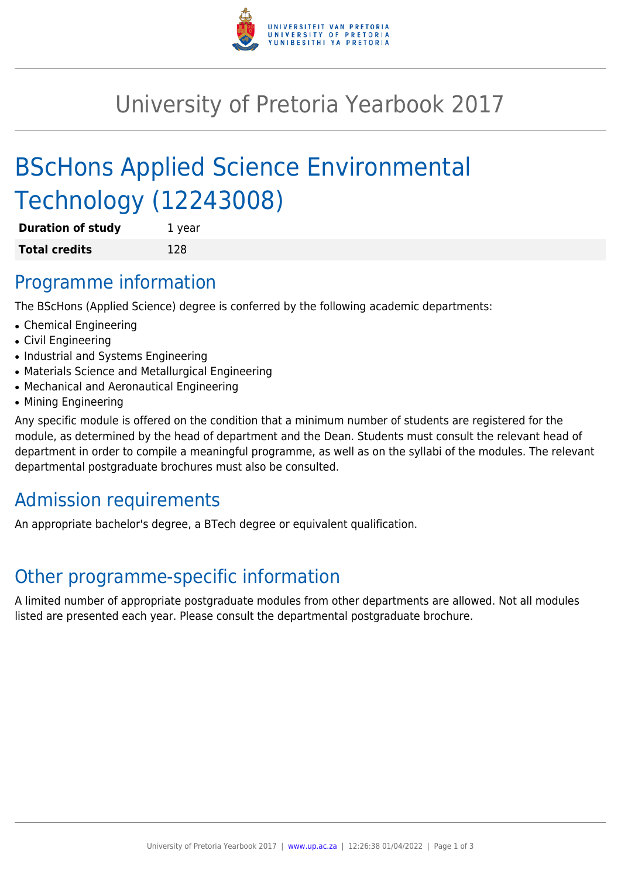

## University of Pretoria Yearbook 2017

# BScHons Applied Science Environmental Technology (12243008)

| <b>Duration of study</b> | 1 year |
|--------------------------|--------|
| <b>Total credits</b>     | 128    |

### Programme information

The BScHons (Applied Science) degree is conferred by the following academic departments:

- Chemical Engineering
- Civil Engineering
- Industrial and Systems Engineering
- Materials Science and Metallurgical Engineering
- Mechanical and Aeronautical Engineering
- Mining Engineering

Any specific module is offered on the condition that a minimum number of students are registered for the module, as determined by the head of department and the Dean. Students must consult the relevant head of department in order to compile a meaningful programme, as well as on the syllabi of the modules. The relevant departmental postgraduate brochures must also be consulted.

## Admission requirements

An appropriate bachelor's degree, a BTech degree or equivalent qualification.

## Other programme-specific information

A limited number of appropriate postgraduate modules from other departments are allowed. Not all modules listed are presented each year. Please consult the departmental postgraduate brochure.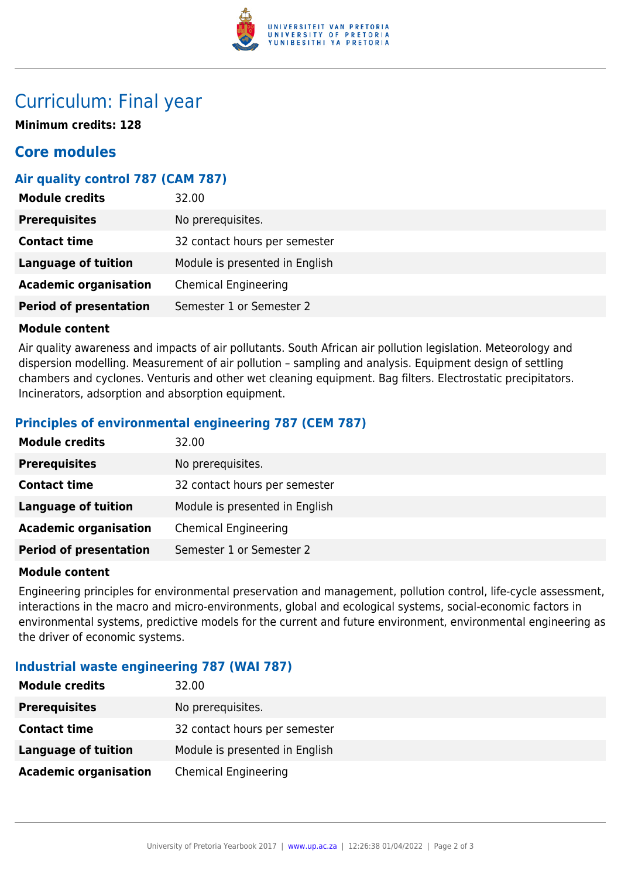

### Curriculum: Final year

**Minimum credits: 128**

### **Core modules**

#### **Air quality control 787 (CAM 787)**

| <b>Module credits</b>         | 32.00                          |
|-------------------------------|--------------------------------|
| <b>Prerequisites</b>          | No prerequisites.              |
| <b>Contact time</b>           | 32 contact hours per semester  |
| Language of tuition           | Module is presented in English |
| <b>Academic organisation</b>  | <b>Chemical Engineering</b>    |
| <b>Period of presentation</b> | Semester 1 or Semester 2       |

#### **Module content**

Air quality awareness and impacts of air pollutants. South African air pollution legislation. Meteorology and dispersion modelling. Measurement of air pollution – sampling and analysis. Equipment design of settling chambers and cyclones. Venturis and other wet cleaning equipment. Bag filters. Electrostatic precipitators. Incinerators, adsorption and absorption equipment.

#### **Principles of environmental engineering 787 (CEM 787)**

| <b>Module credits</b>         | 32.00                          |
|-------------------------------|--------------------------------|
| <b>Prerequisites</b>          | No prerequisites.              |
| <b>Contact time</b>           | 32 contact hours per semester  |
| Language of tuition           | Module is presented in English |
| <b>Academic organisation</b>  | <b>Chemical Engineering</b>    |
| <b>Period of presentation</b> | Semester 1 or Semester 2       |

#### **Module content**

Engineering principles for environmental preservation and management, pollution control, life-cycle assessment, interactions in the macro and micro-environments, global and ecological systems, social-economic factors in environmental systems, predictive models for the current and future environment, environmental engineering as the driver of economic systems.

#### **Industrial waste engineering 787 (WAI 787)**

| <b>Module credits</b>        | 32.00                          |
|------------------------------|--------------------------------|
| <b>Prerequisites</b>         | No prerequisites.              |
| <b>Contact time</b>          | 32 contact hours per semester  |
| <b>Language of tuition</b>   | Module is presented in English |
| <b>Academic organisation</b> | <b>Chemical Engineering</b>    |